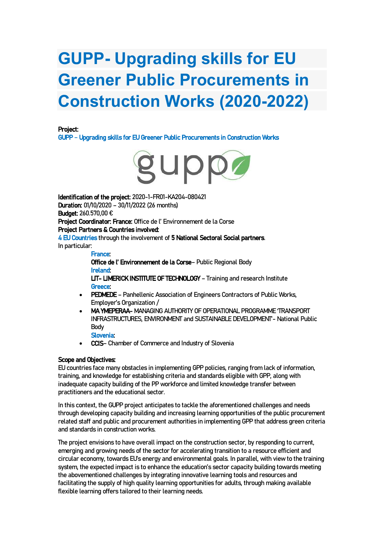# **GUPP- Upgrading skills for EU Greener Public Procurements in Construction Works (2020-2022)**

### Project:

GUPP – Upgrading skills for EU Greener Public Procurements in Construction Works



Identification of the project: 2020-1-FR01-KA204-080421 Duration: 01/10/2020 – 30/11/2022 (26 months) Budget: 260.570,00 € Project Coordinator: France: Office de l' Environnement de la Corse Project Partners & Countries involved: 4 EU Countries through the involvement of 5 National Sectoral Social partners. In particular:

#### France:

Office de l' Environnement de la Corse– Public Regional Body Ireland:

LIT- LIMERICK INSTITUTE OF TECHNOLOGY – Training and research Institute Greece:

- PEDMEDE Panhellenic Association of Engineers Contractors of Public Works, Employer's Organization /
- MA YMEPERAA- MANAGING AUTHORITY OF OPERATIONAL PROGRAMME 'TRANSPORT INFRASTRUCTURES, ENVIRONMENT and SUSTAINABLE DEVELOPMENT'- National Public Body

## Slovenia:

• CCIS– Chamber of Commerce and Industry of Slovenia

### Scope and Objectives:

EU countries face many obstacles in implementing GPP policies, ranging from lack of information, training, and knowledge for establishing criteria and standards eligible with GPP, along with inadequate capacity building of the PP workforce and limited knowledge transfer between practitioners and the educational sector.

In this context, the GUPP project anticipates to tackle the aforementioned challenges and needs through developing capacity building and increasing learning opportunities of the public procurement related staff and public and procurement authorities in implementing GPP that address green criteria and standards in construction works.

The project envisions to have overall impact on the construction sector, by responding to current, emerging and growing needs of the sector for accelerating transition to a resource efficient and circular economy, towards EU's energy and environmental goals. In parallel, with view to the training system, the expected impact is to enhance the education's sector capacity building towards meeting the abovementioned challenges by integrating innovative learning tools and resources and facilitating the supply of high quality learning opportunities for adults, through making available flexible learning offers tailored to their learning needs.